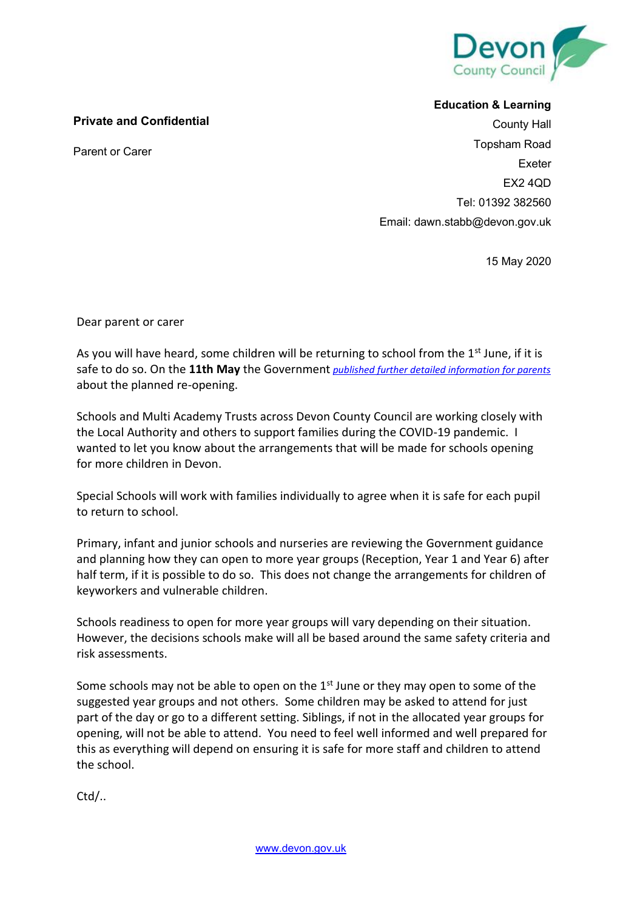

## **Private and Confidential**

Parent or Carer

## **Education & Learning**

County Hall Topsham Road Exeter EX2 4QD Tel: 01392 382560 Email: dawn.stabb@devon.gov.uk

15 May 2020

Dear parent or carer

As you will have heard, some children will be returning to school from the  $1<sup>st</sup>$  June, if it is safe to do so. On the **11th May** the Government *published further detailed information for parents* about the planned re-opening.

Schools and Multi Academy Trusts across Devon County Council are working closely with the Local Authority and others to support families during the COVID-19 pandemic. I wanted to let you know about the arrangements that will be made for schools opening for more children in Devon.

Special Schools will work with families individually to agree when it is safe for each pupil to return to school.

Primary, infant and junior schools and nurseries are reviewing the Government guidance and planning how they can open to more year groups (Reception, Year 1 and Year 6) after half term, if it is possible to do so. This does not change the arrangements for children of keyworkers and vulnerable children.

Schools readiness to open for more year groups will vary depending on their situation. However, the decisions schools make will all be based around the same safety criteria and risk assessments.

Some schools may not be able to open on the  $1<sup>st</sup>$  June or they may open to some of the suggested year groups and not others. Some children may be asked to attend for just part of the day or go to a different setting. Siblings, if not in the allocated year groups for opening, will not be able to attend. You need to feel well informed and well prepared for this as everything will depend on ensuring it is safe for more staff and children to attend the school.

Ctd/..